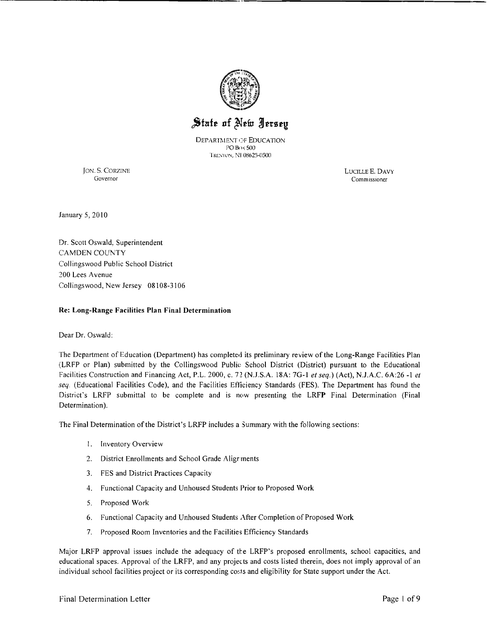

'-----------------------------------------------,

# State of New Aersey

DEPARTMENT OF EDUCATION PO Box 500 TRENTON, N1 08625-0500

JON. S. CORZINE LUCILLE E. DAVY<br>Governor Commissioner

Commissioner

January 5, 2010

Dr. Scott Oswald, Superintendent CAMDEN COUNTY Collingswood Public School District 200 Lees Avenue Collingswood, New Jersey 08108-3106

#### Re: Long-Range Facilities Plan Final Determination

Dear Dr. Oswald:

The Department of Education (Department) has completed its preliminary review of the Long-Range Facilities Plan (LRFP or Plan) submitted by the Collingswood Public School District (District) pursuant to the Educational Facilities Construction and Financing Act, P.L. 2000, c. 72 (NJ.S.A. 18A: 7G-I *et seq.)* (Act), NJ.A.C. 6A:26 -I *et seq* (Educational Facilities Code), and the Facilities Etliciency Standards (FES). The Department has found the District's LRFP submittal to be complete and is now presenting the LRFP Final Determination (Final Determination).

The Final Determination ofthe District's LRFP includes a 3ummary with the following sections:

- 1. Inventory Overview
- 2. District Enrollments and School Grade Aligr ments
- 3. FES and District Practices Capacity
- 4. Functional Capacity and Unhoused Students Prior to Proposed Work
- 5. Proposed Work
- 6. Functional Capacity and Unhoused Students After Completion of Proposed Work
- 7. Proposed Room Inventories and the Facilities Efficiency Standards

Major LRFP approval issues include the adequacy of the LRFP's proposed enrollments, school capacities, and educational spaces. Approval of the LRFP, and any projects and costs listed therein, does not imply approval of an individual school facilities project or its corresponding costs and eligibility for State support under the Act.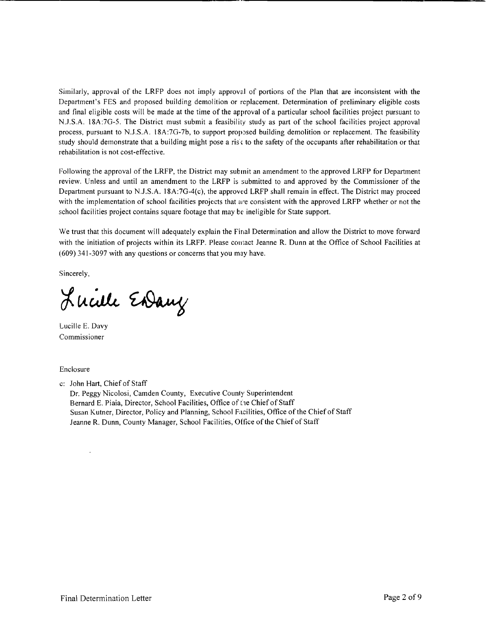Similarly, approval of the LRFP does not imply approval of portions of the Plan that are inconsistent with the Department's FES and proposed building demolition or replacement. Determination of preliminary eligible costs and final eligible costs will be made at the time of the approval of a particular school facilities project pursuant to N.J.S.A. 18A:7G-5. The District must submit a feasibility study as part of the school facilities project approval process, pursuant to N.J.S.A. 18A:7G-7b, to support proposed building demolition or replacement. The feasibility study should demonstrate that a building might pose a ris  $\zeta$  to the safety of the occupants after rehabilitation or that rehabilitation is not cost-effective.

**------------------------------------------------**

Following the approval of the LRFP, the District may submit an amendment to the approved LRFP for Depatiment review. Unless and until an amendment to the LRFP is submitted to and approved by the Commissioner of the Department pursuant to N.J.S.A.  $18A:7G-4(c)$ , the approved LRFP shall remain in effect. The District may proceed with the implementation of school facilities projects that are consistent with the approved LRFP whether or not the school facilities project contains square footage that may be ineligible for State support.

We trust that this document will adequately explain the Final Determination and allow the District to move forward with the initiation of projects within its LRFP. Please contact Jeanne R. Dunn at the Office of School Facilities at (609) 341-3097 with any questions or concerns that you may have.

Sincerely,

Lucille Endany

Lucille E. Davy Commissioner

Enclosure

c: John Hart, Chief of Staff Dr. Peggy Nicolosi, Camden County, Executive County Superintendent Bernard E. Piaia, Director, School Facilities, Office of the Chief of Staff Susan Kutner, Director, Policy and Planning, School Facilities, Office of the Chief of Staff Jeanne R. Dunn, County Manager, School Facilities, Office of the Chief of Staff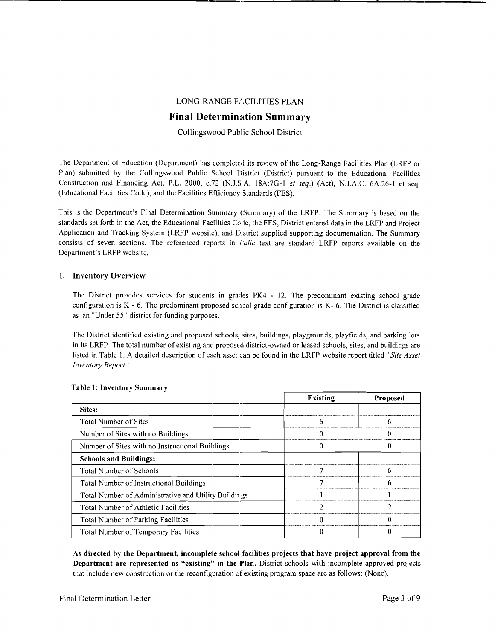## LONG-RANGE FACILITIES PLAN

------------- <sup>M</sup> \_

# Final Determination Summary

Collingswood Public School District

The Department of Education (Department) has completed its review of the Long-Range Facilities Plan (LRFP or Plan) submitted by the Collingswood Public School District (District) pursuant to the Educational Facilities Construction and Financing Act, P.L. 2000, c.72 (N.U; A. 18A:7G-I *et seq.)* (Act), N.J.A.C. 6A:26-1 e:t seq. (Educational Facilities Code), and the Facilities Efficiency Standards (FES).

This is the Department's Final Determination Summary (Summary) of the LRFP. The Summary is based on the standards set forth in the Act, the Educational Facilities Code, the FES, District entered data in the LRFP and Project Application and Tracking System (LRFP website), and District supplied supporting documentation. The Summary consists of seven sections. The referenced reports in *iialic* text are standard LRFP reports available on the Department's LRFP website.

#### 1. Inventory Overview

The District provides services for students in grades PK4 - 12. The predominant existing school grade configuration is  $K - 6$ . The predominant proposed school grade configuration is  $K - 6$ . The District is classified as an "Under 55" district for funding purposes.

The District identified existing and proposed schools, sites, buildings, playgrounds, playfields, and parking lots in its LRFP. The total number of existing and proposed district-owned or leased schools, sites, and buildings are listed in Table 1. A detailed description of each asset can be found in the LRFP website report titled *"Site Asset Inventory Report. "* 

|                                                      | <b>Existing</b> | <b>Proposed</b> |
|------------------------------------------------------|-----------------|-----------------|
| Sites:                                               |                 |                 |
| <b>Total Number of Sites</b>                         | h               | o               |
| Number of Sites with no Buildings                    |                 |                 |
| Number of Sites with no Instructional Buildings      |                 |                 |
| <b>Schools and Buildings:</b>                        |                 |                 |
| <b>Total Number of Schools</b>                       |                 |                 |
| Total Number of Instructional Buildings              |                 | h               |
| Total Number of Administrative and Utility Buildings |                 |                 |
| Total Number of Athletic Facilities                  |                 | າ               |
| Total Number of Parking Facilities                   |                 |                 |
| Total Number of Temporary Facilities                 |                 |                 |

#### Table 1: Inventory Summary

As directed by the Department, incomplete school facilities projects that have project approval from the Department are represented as "existing" in the Plan. District schools with incomplete approved projects that include new construction or the reconfiguration of existing program space are as follows: (None).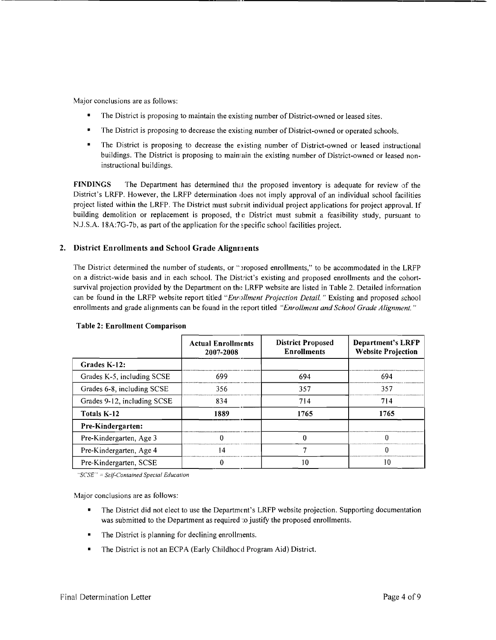Major conclusions are as follows:

The District is proposing to maintain the existing number of District-owned or leased sites.

------------------------------------------------,

- The District is proposing to decrease the existing number of District-owned or operated schools.
- The District is proposing to decrease the existing number of District-owned or leased instructional buildings. The District is proposing to maimain the existing number of District-owned or leased noninstructional buildings.

FINDINGS The Department has determined that the proposed inventory is adequate for review of the District's LRFP. However, the LRFP determination does not imply approval of an individual school facilities project listed within the LRFP. The District must submit individual project applications for project approval. If building demolition or replacement is proposed, the District must submit a feasibility study, pursuant to N.J.S.A. 18A:7G-7b, as part of the application for the specific school facilities project.

## 2. District Enrollments and School Grade Alignments

The District determined the number of students, or "proposed enrollments," to be accommodated in the LRFP on a district-wide basis and in each school. The District's existing and proposed enrollments and the cohortsurvival projection provided by the Department on the LRFP website are listed in Table 2. Detailed information can be found in the LRFP website report titled *"Enrollment Projection Detail.* " Existing and proposed school enrollments and grade alignments can be found in the report titled *"Enrollment and School Grade Alignment. "* 

|                             | <b>Actual Enrollments</b><br>2007-2008 | <b>District Proposed</b><br><b>Enrollments</b> | <b>Department's LRFP</b><br><b>Website Projection</b> |
|-----------------------------|----------------------------------------|------------------------------------------------|-------------------------------------------------------|
| Grades K-12:                |                                        |                                                |                                                       |
| Grades K-5, including SCSE  | 699                                    | 694                                            | 694                                                   |
| Grades 6-8, including SCSE  | 356                                    | 357                                            | 357                                                   |
| Grades 9-12, including SCSE | 834                                    | 714                                            | 714                                                   |
| Totals K-12                 | 1889                                   | 1765                                           | 1765                                                  |
| Pre-Kindergarten:           |                                        |                                                |                                                       |
| Pre-Kindergarten, Age 3     |                                        |                                                |                                                       |
| Pre-Kindergarten, Age 4     | 14                                     |                                                |                                                       |
| Pre-Kindergarten, SCSE      |                                        | 10                                             | 10                                                    |

#### Table 2: Enrollment Comparison

*"seSE" Self-Contained Special Education* 

Major conclusions are as follows:

- The District did not elect to use the Department's LRFP website projection. Supporting documentation was submitted to the Department as required: o justify the proposed enrollments.
- The District is planning for declining enrollments.
- The District is not an ECPA (Early Childhocd Program Aid) District.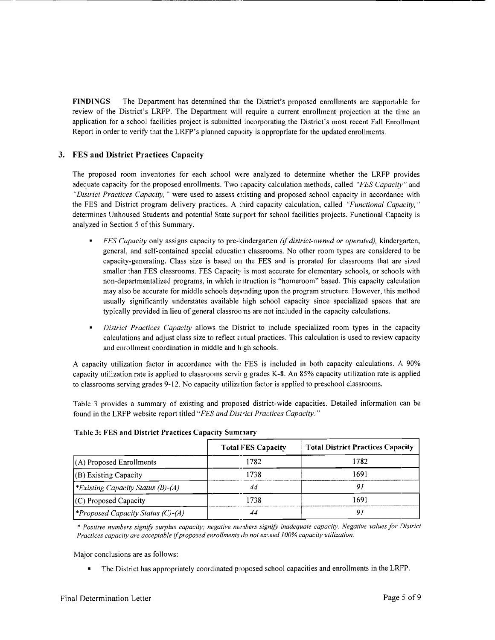FINDINGS The Department has determined that the District's proposed enrollments are supportable for review of the District's LRFP. The Department will require a current enrollment projection at the time an application for a school facilities project is submitted incorporating the District's most recent Fall Enrollment Report in order to verify that the LRFP's planned capacity is appropriate for the updated enrollments.

-------------------------------.\_------------------

### 3. FES and District Practices Capacity

The proposed room inventories for each school wtre analyzed to determine whether the LRFP provides adequate capacity for the proposed enrollments. Two capacity calculation methods, called "FES Capacity" and *"District Practices Capacity,"* were used to assess existing and proposed school capacity in accordance with the FES and District program delivery practices. A :hird capacity calculation, called *"Functional Capacity, "*  determines Unhoused Students and potential State support for school facilities projects. Functional Capacity is analyzed in Section 5 of this Summary.

- *FES Capacity* only assigns capacity to pre-kindergarten *(if district-owned or operated),* kindergarten, general, and self-contained special education classrooms. No other room types are considered to be capacity-generating. Class size is based on the FES and is prorated for classrooms that are sized smaller than FES classrooms. FES Capacity is most accurate for elementary schools, or schools with non-departmentalized programs, in which instruction is "homeroom" based. This capacity calculation may also be accurate for middle schools depending upon the program structure. However, this method usually significantly understates available high school capacity since specialized spaces that are typically provided in lieu of general classrooms are not included in the capacity calculations.
- $\blacksquare$ *District Practices Capacity* allows the District to include specialized room types in the capacity calculations and adjust class size to reflect actual practices. This calculation is used to review capacity and enrollment coordination in middle and high schools.

A capacity utilization factor in accordance with the FES is included in both capacity calculations. A 90% capacity utilization rate is applied to classrooms serving grades K-8. An 85% capacity utilization rate is applied to classrooms serving grades 9-12. No capacity utilization factor is applied to preschool classrooms.

Table 3 provides a summary of existing and proposed district-wide capacities. Detailed information can be found in the LRFP website report titled *"FES and District Practices Capacity. "* 

| <b>Table 3: FES and District Practices Capacity Summary</b> |                           |                                          |  |
|-------------------------------------------------------------|---------------------------|------------------------------------------|--|
|                                                             | <b>Total FES Capacity</b> | <b>Total District Practices Capacity</b> |  |
| $(A)$ Proposed Enrollments                                  | 1782                      | 1782                                     |  |
| $(B)$ Existing Capacity                                     | 1738                      | 1691                                     |  |
| <i>Existing Capacity Status (B)-(A)</i>                     | 44                        | 9 i                                      |  |
| $(C)$ Proposed Capacity                                     | 1738                      | 1691                                     |  |
| <i><b>*Proposed Capacity Status (C)-(A)</b></i>             | 44                        | 9 i                                      |  |

#### Table 3: FES and District Practices Capacity Summary

*\* Positive numbers signifY surplus capacity; negative numbers signifY inadequate capacity. Negative values for District Practices capacity are acceptable* if*proposed enrollments do not exceed 100% capacity utilization.* 

Major conclusions are as follows:

• The District has appropriately coordinated proposed school capacities and enrollments in the LRFP.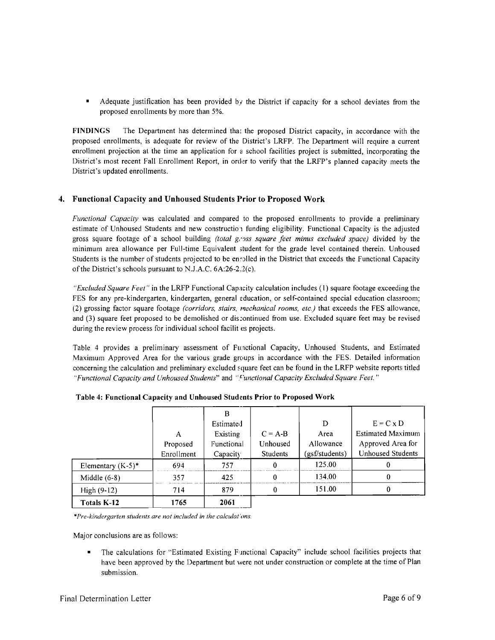$\blacksquare$  Adequate justification has been provided by the District if capacity for a school deviates from the proposed enrollments by more than 5%.

FINDINGS The Department has determined that the proposed District capacity, in accordance with the proposed enrollments, is adequate for review of the District's LRFP. The Department will require a current enrollment projection at the time an application for a school facilities project is submitted, incorporating the District's most recent Fall Enrollment Report, in order to verify that the LRFP's planned capacity meets the District's updated enrollments.

## 4. Functional Capacity and Unhoused Students Prior to Proposed Work

*Functional Capacity* was calculated and compared to the proposed enrollments to provide a preliminary estimate of Unhoused Students and new construction funding eligibility. Functional Capacity is the adjusted gross square footage of a school building *(total g,'JSS square feet minus excluded space)* divided by the minimum area allowance per Full-time Equivalent ;tudent for the grade level contained therein. Unhoused Students is the number of students projected to be ensolled in the District that exceeds the Functional Capacity of the District's schools pursuant to N.J.A.C.  $6A:26-2.2(c)$ .

*"Excluded Square Feet"* in the LRFP Functional Capacity calculation includes (1) square footage exceeding the FES for any pre-kindergarten, kindergarten, general education, or self-contained special education classroom; (2) grossing factor square footage *(corridors, stairs, mechanical rooms, etc.)* that exceeds the FES allowance, and (3) square feet proposed to be demolished or discontinued from use. Excluded square feet may be revised during the review process for individual school facilit es projects.

Table 4 provides a preliminary assessment of Functional Capacity, Unhoused Students, and Estimated Maximum Approved Area for the various grade groups in accordance with the FES. Detailed information concerning the calculation and preliminary excluded square feet can be found in the LRFP website reports titled *"Functional Capacity and Unhoused Students"* and *'Tunctional Capacity Excluded Square Feet. "* 

|                      |            | B          |                 |                |                          |
|----------------------|------------|------------|-----------------|----------------|--------------------------|
|                      |            | Estimated  |                 | D              | $E = C \times D$         |
|                      | A          | Existing   | $C = A-B$       | Area           | <b>Estimated Maximum</b> |
|                      | Proposed   | Functional | Unhoused        | Allowance      | Approved Area for        |
|                      | Enrollment | Capacity   | <b>Students</b> | (gsf/students) | <b>Unhoused Students</b> |
| Elementary $(K-5)^*$ | 694        | 757        | 0               | 125.00         |                          |
| Middle $(6-8)$       | 357        | 425        |                 | 134.00         | 0                        |
| High $(9-12)$        | 714        | 879        | 0               | 151.00         | 0                        |
| Totals K-12          | 1765       | 2061       |                 |                |                          |

*\*Pre-kindergarten students are not included in the calculat'ons.* 

Major conclusions are as follows:

• The calculations for "Estimated Existing Functional Capacity" include school facilities projects that have been approved by the Department but were not under construction or complete at the time of Plan submission.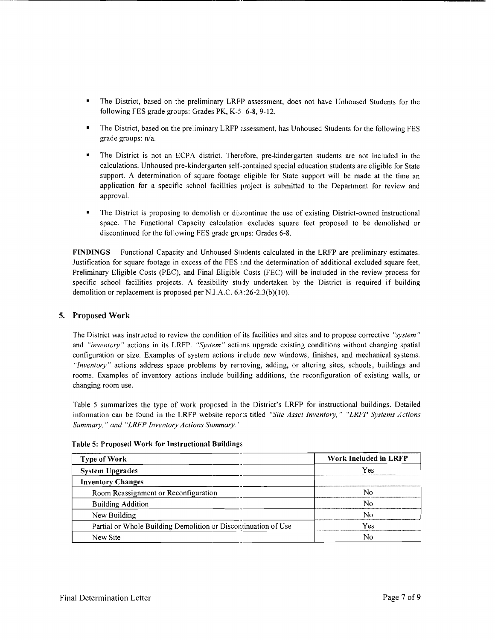The District, based on the preliminary LRFP assessment, does not have Unhoused Students for the following FES grade groups: Grades PK,  $K-5$ , 6-8, 9-12.

------------------------

- The District, based on the preliminary LRFP assessment, has Unhoused Students for the following FES grade groups: n/a.
- The District is not an ECPA district. Therefore, pre-kindergarten students are not included in the calculations. Unhoused pre-kindergarten self-contained special education students are eligible for State support. A determination of square footage eligible for State support will be made at the time an application for a specific school facilities project is submitted to the Department for review and approval.
- The District is proposing to demolish or discontinue the use of existing District-owned instructional space. The Functional Capacity calculation excludes square feet proposed to be demolished or discontinued for the following FES grade groups: Grades 6-8.

FINDINGS Functional Capacity and Unhoused Students calculated in the LRFP are preliminary estimates. Justification for square footage in excess of the FES and the determination of additional excluded square feet, Preliminary Eligible Costs (PEC), and Final Eligible Costs (FEC) will be included in the review process for specific school facilities projects. A feasibility study undertaken by the District is required if building demolition or replacement is proposed per NJ.A.C. 6A:26-2.3(b)(10).

#### 5. Proposed Work

The District was instructed to review the condition of its facilities and sites and to propose corrective *"system"*  and *"inventory"* actions in its LRFP. "System" actions upgrade existing conditions without changing spatial configuration or size. Examples of system actions irclude new windows, finishes, and mechanical systems. *"Inventory"* actions address space problems by renoving, adding, or altering sites, schools, buildings and rooms. Examples of inventory actions include building additions, the reconflguration of existing walls, or changing room use.

Table 5 summarizes the type of work proposed in the District's LRFP for instructional buildings. Detailed information can be found in the LRFP website reports titled *"Site Asset Inventory," "LRFP Systems Actions Summary,* " *and "LRFP Inventory Actions Summary. '* 

| <b>Type of Work</b>                                            | Work Included in LRFP |
|----------------------------------------------------------------|-----------------------|
| <b>System Upgrades</b>                                         | Yes                   |
| <b>Inventory Changes</b>                                       |                       |
| Room Reassignment or Reconfiguration                           | N٥                    |
| <b>Building Addition</b>                                       | N٥                    |
| New Building                                                   | N٥                    |
| Partial or Whole Building Demolition or Discontinuation of Use | Yes                   |
| New Site                                                       | Nc                    |

#### Table 5: Proposed Work for Instructional Buildings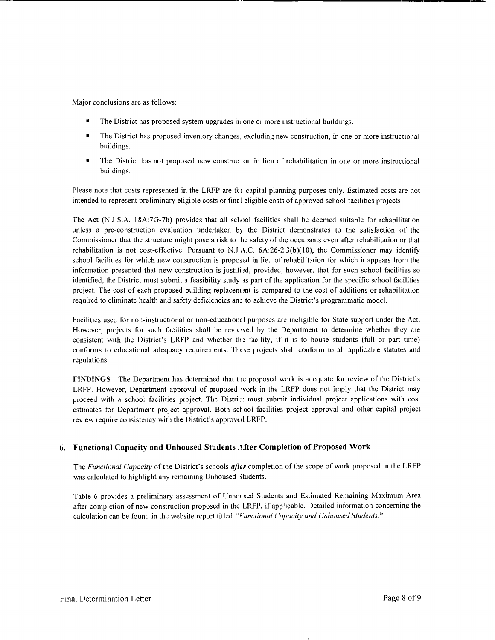Major conclusions are as follows:

The District has proposed system upgrades in one or more instructional buildings.

-----\_.\_--------------------------------------------

- The District has proposed inventory changes, excluding new construction, in one or more instructional buildings.
- The District has not proposed new construction in lieu of rehabilitation in one or more instructional buildings.

Please note that costs represented in the LRFP are fcr capital planning purposes only. Estimated costs are not intended to represent preliminary eligible costs or final eligible costs of approved school facilities projects,

The Act (N.J.S.A. l8A:7G-7b) provides that all school facilities shall be deemed suitable for rehabihtation unless a pre-construction evaluation undertaken by the District demonstrates to the satisfaction of the Commissioner that the structure might pose a risk to lhe safety of the occupants even after rehabilitation or that rehabilitation is not cost-effective. Pursuant to N.J.A.C.  $6A:26-2.3(b)(10)$ , the Commissioner may identify school facilities for which new construction is proposed in lieu of rehabilitation for which it appears from the information presented that new construction is justified, provided, however, that for such school facilities so identified, the District must submit a feasibility study as part of the application for the specific school facilities project. The cost of each proposed building replacement is compared to the cost of additions or rehabilitation required to eliminate health and safety deficiencies anj to achieve the District's programmatic model.

Facilities used for non-instructional or non-educational purposes are ineligible for State support under the Act. However, projects for such facilities shall be reviewed by the Department to determine whether they are consistent with the District's LRFP and whether the facility, if it is to house students (full or part time) conforms to educational adequacy requirements. These projects shall conform to all applicable statutes and regulations.

**FINDINGS** The Department has determined that the proposed work is adequate for review of the District's LRFP. However, Department approval of proposed work in the LRFP does not imply that the District may proceed with a school facilities project. The District must submit individual project applications with cost estimates for Department project approval. Both school facilities project approval and other capital project review require consistency with the District's approved LRFP.

# 6. **Functional Capacity and Unhoused Students After Completion of Proposed Work**

The *Functional Capacity* of the District's schools *after* completion of the scope of work proposed in the LRFP was calculated to highlight any remaining Unhoused Students.

Table 6 provides a preliminary assessment of Unhoused Students and Estimated Remaining Maximum Area after completion of new construction proposed in the LRFP, if applicable. Detailed information concerning the calculation can be found in the website report titled "Functional Capacity and Unhoused Students."